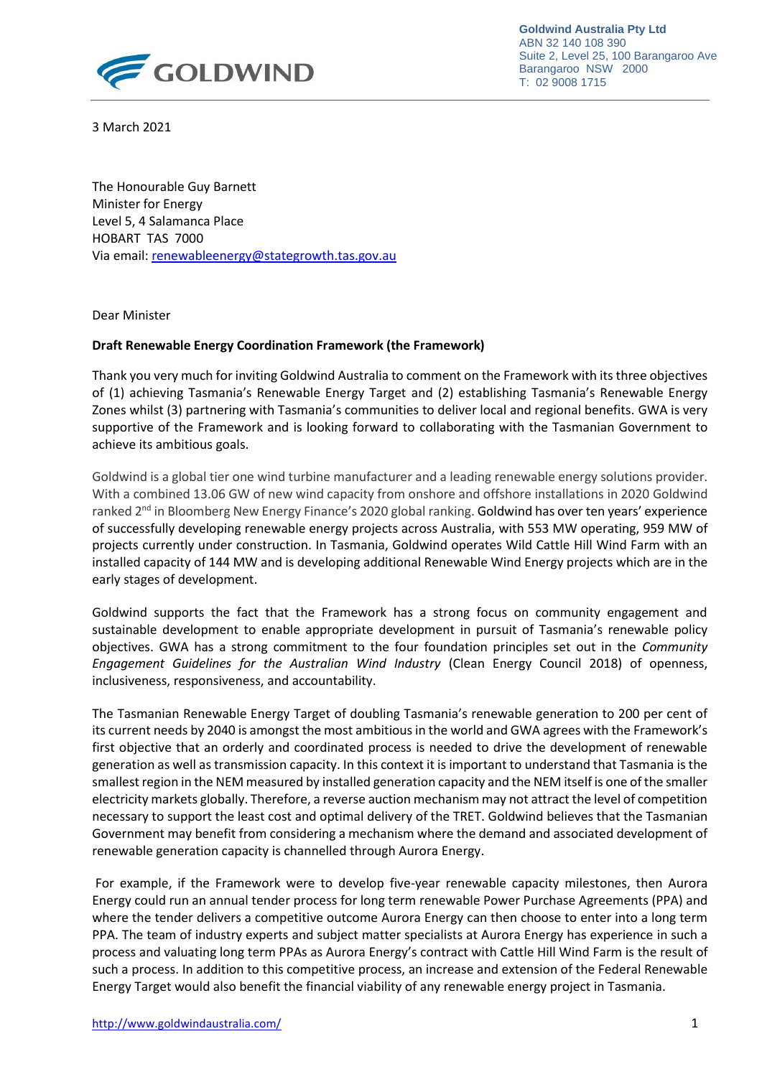

**Goldwind Australia Pty Ltd** ABN 32 140 108 390 Suite 2, Level 25, 100 Barangaroo Ave Barangaroo NSW 2000 T: 02 9008 1715

3 March 2021

The Honourable Guy Barnett Minister for Energy Level 5, 4 Salamanca Place HOBART TAS 7000 Via email[: renewableenergy@stategrowth.tas.gov.au](mailto:renewableenergy@stategrowth.tas.gov.au)

Dear Minister

## **Draft Renewable Energy Coordination Framework (the Framework)**

Thank you very much for inviting Goldwind Australia to comment on the Framework with its three objectives of (1) achieving Tasmania's Renewable Energy Target and (2) establishing Tasmania's Renewable Energy Zones whilst (3) partnering with Tasmania's communities to deliver local and regional benefits. GWA is very supportive of the Framework and is looking forward to collaborating with the Tasmanian Government to achieve its ambitious goals.

Goldwind is a global tier one wind turbine manufacturer and a leading renewable energy solutions provider. With a combined 13.06 GW of new wind capacity from onshore and offshore installations in 2020 Goldwind ranked 2<sup>nd</sup> in Bloomberg New Energy Finance's 2020 global ranking. Goldwind has over ten years' experience of successfully developing renewable energy projects across Australia, with 553 MW operating, 959 MW of projects currently under construction. In Tasmania, Goldwind operates Wild Cattle Hill Wind Farm with an installed capacity of 144 MW and is developing additional Renewable Wind Energy projects which are in the early stages of development.

Goldwind supports the fact that the Framework has a strong focus on community engagement and sustainable development to enable appropriate development in pursuit of Tasmania's renewable policy objectives. GWA has a strong commitment to the four foundation principles set out in the *Community Engagement Guidelines for the Australian Wind Industry* (Clean Energy Council 2018) of openness, inclusiveness, responsiveness, and accountability.

The Tasmanian Renewable Energy Target of doubling Tasmania's renewable generation to 200 per cent of its current needs by 2040 is amongst the most ambitious in the world and GWA agrees with the Framework's first objective that an orderly and coordinated process is needed to drive the development of renewable generation as well as transmission capacity. In this context it is important to understand that Tasmania is the smallest region in the NEM measured by installed generation capacity and the NEM itself is one of the smaller electricity markets globally. Therefore, a reverse auction mechanism may not attract the level of competition necessary to support the least cost and optimal delivery of the TRET. Goldwind believes that the Tasmanian Government may benefit from considering a mechanism where the demand and associated development of renewable generation capacity is channelled through Aurora Energy.

For example, if the Framework were to develop five-year renewable capacity milestones, then Aurora Energy could run an annual tender process for long term renewable Power Purchase Agreements (PPA) and where the tender delivers a competitive outcome Aurora Energy can then choose to enter into a long term PPA. The team of industry experts and subject matter specialists at Aurora Energy has experience in such a process and valuating long term PPAs as Aurora Energy's contract with Cattle Hill Wind Farm is the result of such a process. In addition to this competitive process, an increase and extension of the Federal Renewable Energy Target would also benefit the financial viability of any renewable energy project in Tasmania.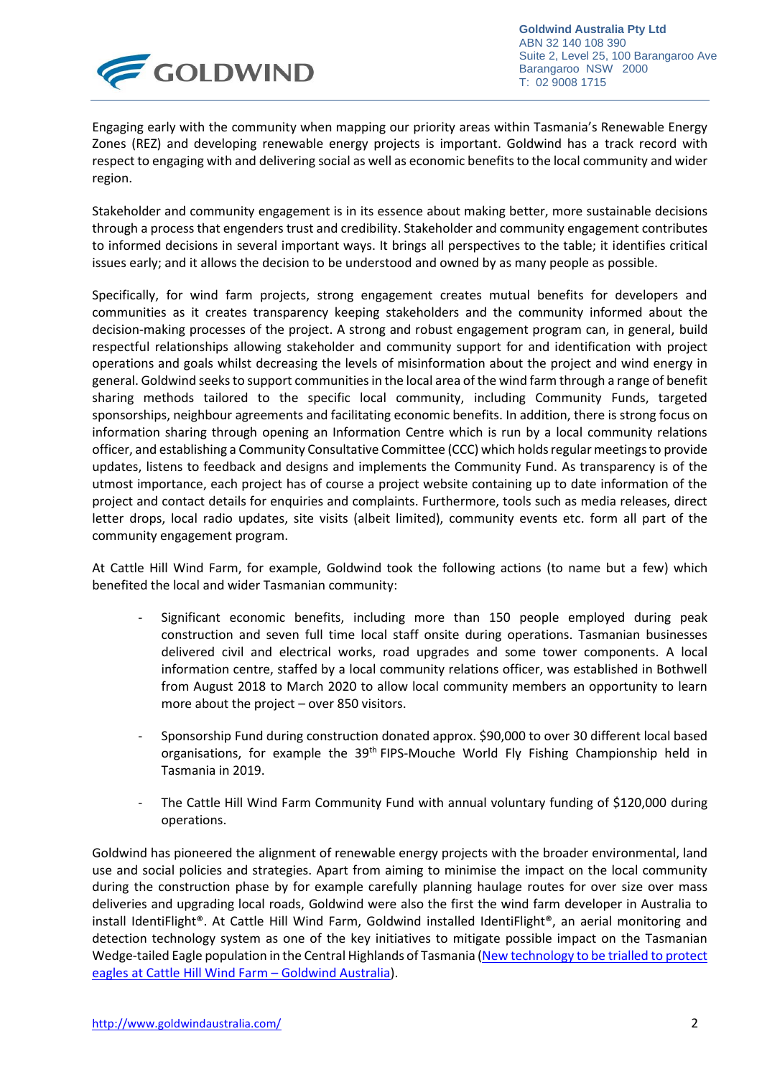

**Goldwind Australia Pty Ltd** ABN 32 140 108 390 Suite 2, Level 25, 100 Barangaroo Ave Barangaroo NSW 2000 T: 02 9008 1715

Engaging early with the community when mapping our priority areas within Tasmania's Renewable Energy Zones (REZ) and developing renewable energy projects is important. Goldwind has a track record with respect to engaging with and delivering social as well as economic benefits to the local community and wider region.

Stakeholder and community engagement is in its essence about making better, more sustainable decisions through a process that engenders trust and credibility. Stakeholder and community engagement contributes to informed decisions in several important ways. It brings all perspectives to the table; it identifies critical issues early; and it allows the decision to be understood and owned by as many people as possible.

Specifically, for wind farm projects, strong engagement creates mutual benefits for developers and communities as it creates transparency keeping stakeholders and the community informed about the decision-making processes of the project. A strong and robust engagement program can, in general, build respectful relationships allowing stakeholder and community support for and identification with project operations and goals whilst decreasing the levels of misinformation about the project and wind energy in general. Goldwind seeksto support communities in the local area of the wind farm through a range of benefit sharing methods tailored to the specific local community, including Community Funds, targeted sponsorships, neighbour agreements and facilitating economic benefits. In addition, there is strong focus on information sharing through opening an Information Centre which is run by a local community relations officer, and establishing a Community Consultative Committee (CCC) which holds regular meetings to provide updates, listens to feedback and designs and implements the Community Fund. As transparency is of the utmost importance, each project has of course a project website containing up to date information of the project and contact details for enquiries and complaints. Furthermore, tools such as media releases, direct letter drops, local radio updates, site visits (albeit limited), community events etc. form all part of the community engagement program.

At Cattle Hill Wind Farm, for example, Goldwind took the following actions (to name but a few) which benefited the local and wider Tasmanian community:

- Significant economic benefits, including more than 150 people employed during peak construction and seven full time local staff onsite during operations. Tasmanian businesses delivered civil and electrical works, road upgrades and some tower components. A local information centre, staffed by a local community relations officer, was established in Bothwell from August 2018 to March 2020 to allow local community members an opportunity to learn more about the project – over 850 visitors.
- Sponsorship Fund during construction donated approx. \$90,000 to over 30 different local based organisations, for example the 39<sup>th</sup> FIPS-Mouche World Fly Fishing Championship held in Tasmania in 2019.
- The Cattle Hill Wind Farm Community Fund with annual voluntary funding of \$120,000 during operations.

Goldwind has pioneered the alignment of renewable energy projects with the broader environmental, land use and social policies and strategies. Apart from aiming to minimise the impact on the local community during the construction phase by for example carefully planning haulage routes for over size over mass deliveries and upgrading local roads, Goldwind were also the first the wind farm developer in Australia to install IdentiFlight®. At Cattle Hill Wind Farm, Goldwind installed IdentiFlight®, an aerial monitoring and detection technology system as one of the key initiatives to mitigate possible impact on the Tasmanian Wedge-tailed Eagle population in the Central Highlands of Tasmania [\(New technology to be trialled](https://www.goldwindaustralia.com/new-technology-trialed-protect-eagles-cattle-hill-wind-farm/) to protect [eagles at Cattle Hill Wind Farm](https://www.goldwindaustralia.com/new-technology-trialed-protect-eagles-cattle-hill-wind-farm/) – Goldwind Australia).